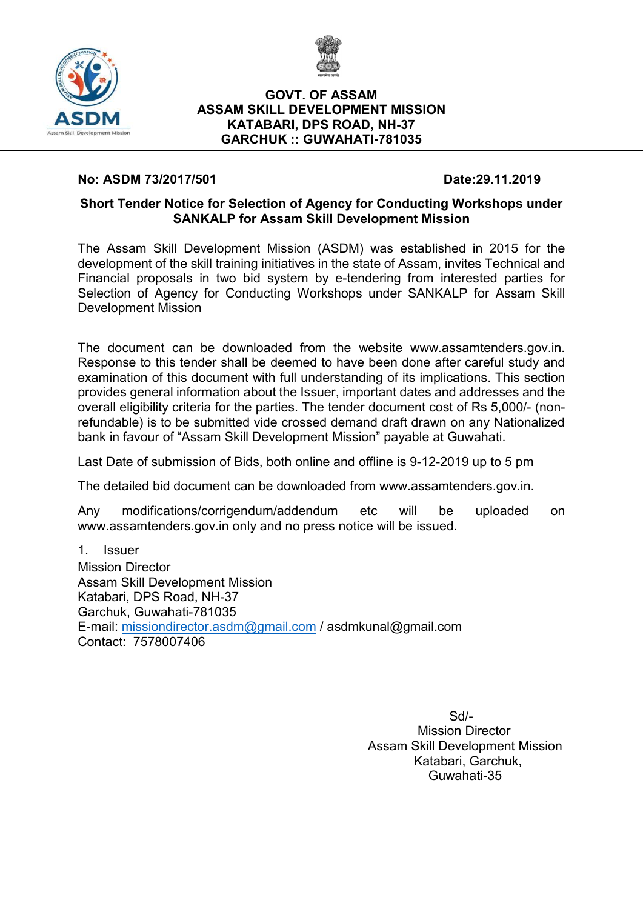



### GOVT. OF ASSAM ASSAM SKILL DEVELOPMENT MISSION KATABARI, DPS ROAD, NH-37 GARCHUK :: GUWAHATI-781035

## No: ASDM 73/2017/501 Date:29.11.2019

## Short Tender Notice for Selection of Agency for Conducting Workshops under SANKALP for Assam Skill Development Mission

The Assam Skill Development Mission (ASDM) was established in 2015 for the development of the skill training initiatives in the state of Assam, invites Technical and Financial proposals in two bid system by e-tendering from interested parties for Selection of Agency for Conducting Workshops under SANKALP for Assam Skill Development Mission

The document can be downloaded from the website www.assamtenders.gov.in. Response to this tender shall be deemed to have been done after careful study and examination of this document with full understanding of its implications. This section provides general information about the Issuer, important dates and addresses and the overall eligibility criteria for the parties. The tender document cost of Rs 5,000/- (nonrefundable) is to be submitted vide crossed demand draft drawn on any Nationalized bank in favour of "Assam Skill Development Mission" payable at Guwahati.

Last Date of submission of Bids, both online and offline is 9-12-2019 up to 5 pm

The detailed bid document can be downloaded from www.assamtenders.gov.in.

Any modifications/corrigendum/addendum etc will be uploaded on www.assamtenders.gov.in only and no press notice will be issued.

1. Issuer Mission Director Assam Skill Development Mission Katabari, DPS Road, NH-37 Garchuk, Guwahati-781035 E-mail: missiondirector.asdm@gmail.com / asdmkunal@gmail.com Contact: 7578007406

> Sd/- Mission Director Assam Skill Development Mission Katabari, Garchuk, Guwahati-35